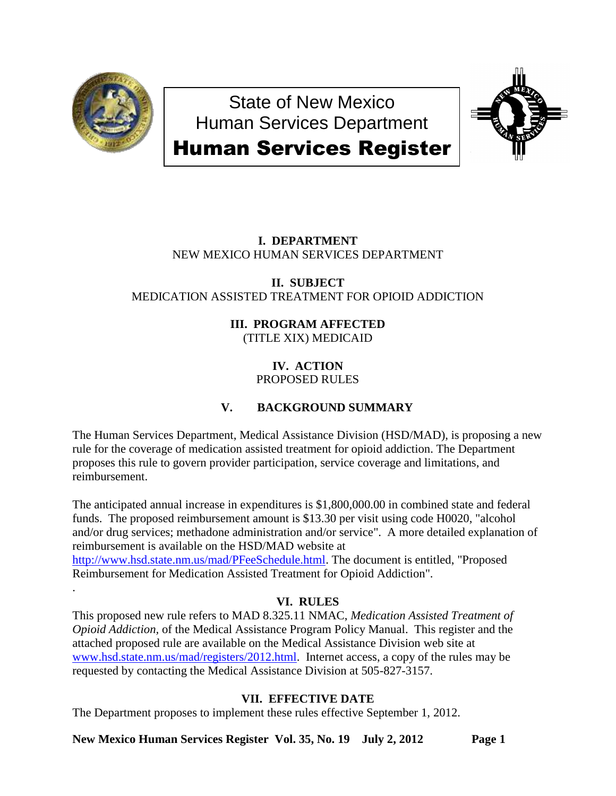

State of New Mexico Human Services Department



# Human Services Register

## **I. DEPARTMENT** NEW MEXICO HUMAN SERVICES DEPARTMENT

## **II. SUBJECT** MEDICATION ASSISTED TREATMENT FOR OPIOID ADDICTION

# **III. PROGRAM AFFECTED** (TITLE XIX) MEDICAID

# **IV. ACTION** PROPOSED RULES

# **V. BACKGROUND SUMMARY**

The Human Services Department, Medical Assistance Division (HSD/MAD), is proposing a new rule for the coverage of medication assisted treatment for opioid addiction. The Department proposes this rule to govern provider participation, service coverage and limitations, and reimbursement.

The anticipated annual increase in expenditures is \$1,800,000.00 in combined state and federal funds. The proposed reimbursement amount is \$13.30 per visit using code H0020, "alcohol and/or drug services; methadone administration and/or service". A more detailed explanation of reimbursement is available on the HSD/MAD website at

[http://www.hsd.state.nm.us/mad/PFeeSchedule.html.](http://www.hsd.state.nm.us/mad/PFeeSchedule.html) The document is entitled, "Proposed Reimbursement for Medication Assisted Treatment for Opioid Addiction". .

# **VI. RULES**

This proposed new rule refers to MAD 8.325.11 NMAC, *Medication Assisted Treatment of Opioid Addiction,* of the Medical Assistance Program Policy Manual. This register and the attached proposed rule are available on the Medical Assistance Division web site at [www.hsd.state.nm.us/mad/registers/2012.html.](http://www.hsd.state.nm.us/mad/registers/2012.html) Internet access, a copy of the rules may be requested by contacting the Medical Assistance Division at 505-827-3157.

# **VII. EFFECTIVE DATE**

The Department proposes to implement these rules effective September 1, 2012.

**New Mexico Human Services Register Vol. 35, No. 19 July 2, 2012 Page 1**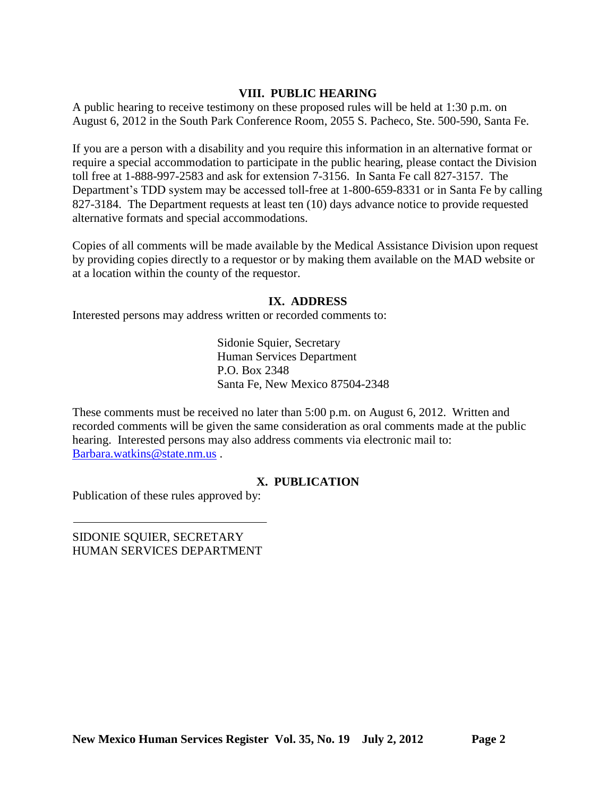## **VIII. PUBLIC HEARING**

A public hearing to receive testimony on these proposed rules will be held at 1:30 p.m. on August 6, 2012 in the South Park Conference Room, 2055 S. Pacheco, Ste. 500-590, Santa Fe.

If you are a person with a disability and you require this information in an alternative format or require a special accommodation to participate in the public hearing, please contact the Division toll free at 1-888-997-2583 and ask for extension 7-3156. In Santa Fe call 827-3157. The Department's TDD system may be accessed toll-free at 1-800-659-8331 or in Santa Fe by calling 827-3184. The Department requests at least ten (10) days advance notice to provide requested alternative formats and special accommodations.

Copies of all comments will be made available by the Medical Assistance Division upon request by providing copies directly to a requestor or by making them available on the MAD website or at a location within the county of the requestor.

## **IX. ADDRESS**

Interested persons may address written or recorded comments to:

Sidonie Squier, Secretary Human Services Department P.O. Box 2348 Santa Fe, New Mexico 87504-2348

These comments must be received no later than 5:00 p.m. on August 6, 2012. Written and recorded comments will be given the same consideration as oral comments made at the public hearing. Interested persons may also address comments via electronic mail to: [Barbara.watkins@state.nm.us](mailto:Barbara.watkins@state.nm.us) .

## **X. PUBLICATION**

Publication of these rules approved by:

SIDONIE SQUIER, SECRETARY HUMAN SERVICES DEPARTMENT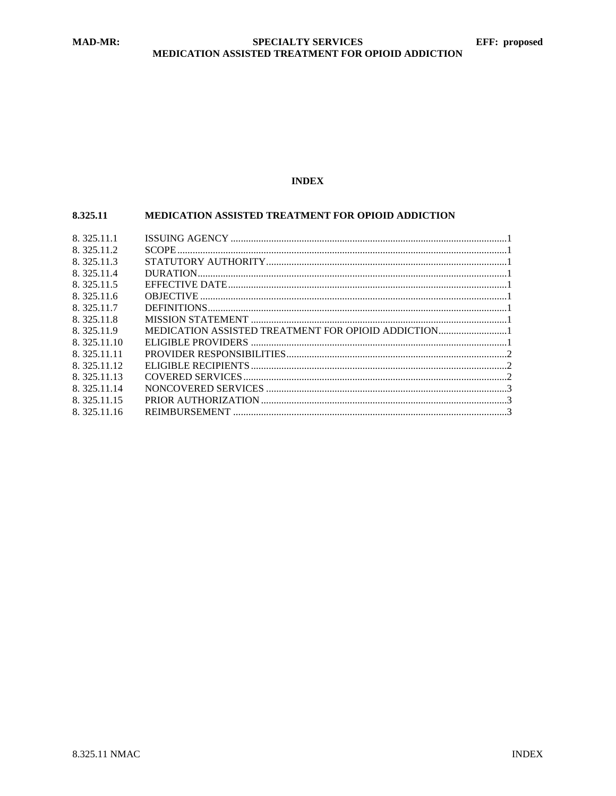#### **INDEX**

#### 8.325.11 MEDICATION ASSISTED TREATMENT FOR OPIOID ADDICTION

| 8.325.11.1  |                                                     |  |
|-------------|-----------------------------------------------------|--|
| 8.325.11.2  |                                                     |  |
| 8.325.11.3  |                                                     |  |
| 8.325.11.4  |                                                     |  |
| 8.325.11.5  |                                                     |  |
| 8.325.11.6  |                                                     |  |
| 8.325.11.7  |                                                     |  |
| 8.325.11.8  |                                                     |  |
| 8.325.11.9  | MEDICATION ASSISTED TREATMENT FOR OPIOID ADDICTION1 |  |
| 8.325.11.10 |                                                     |  |
| 8.325.11.11 |                                                     |  |
| 8.325.11.12 |                                                     |  |
| 8.325.11.13 |                                                     |  |
| 8.325.11.14 |                                                     |  |
| 8.325.11.15 |                                                     |  |
| 8.325.11.16 |                                                     |  |
|             |                                                     |  |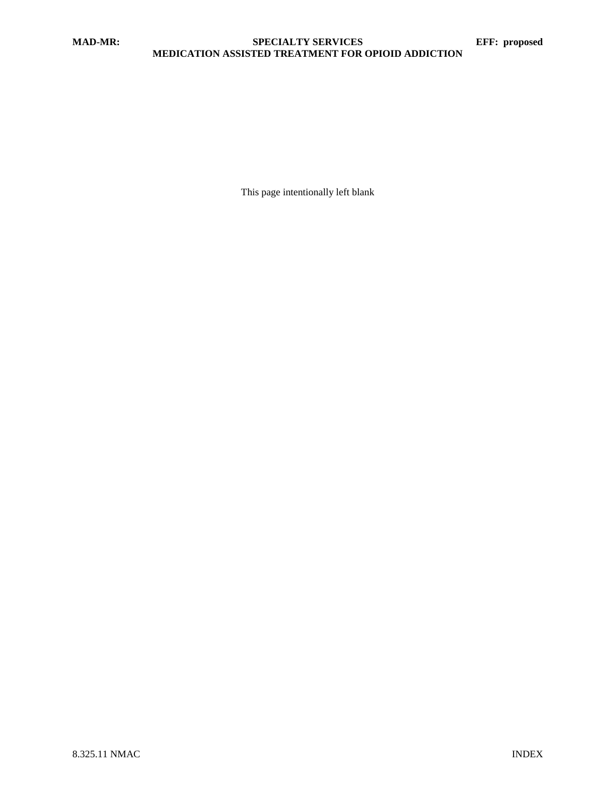This page intentionally left blank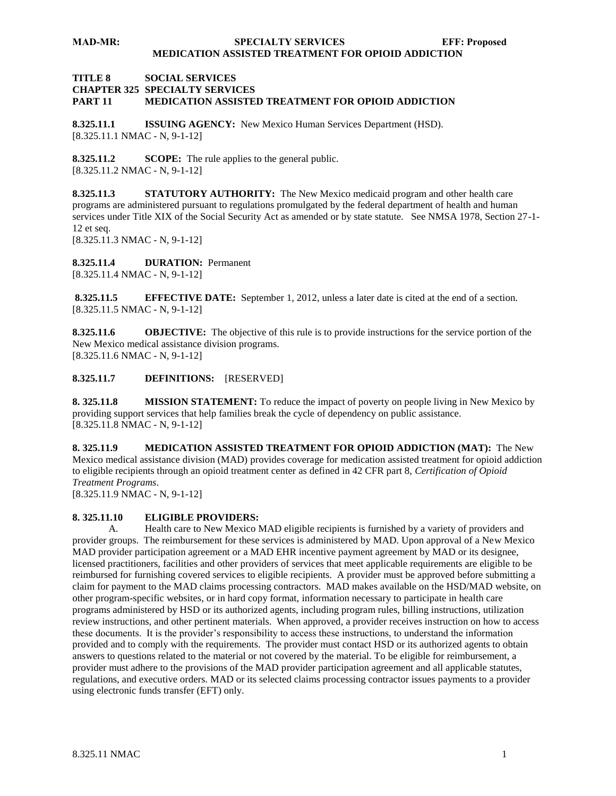### **TITLE 8 SOCIAL SERVICES CHAPTER 325 SPECIALTY SERVICES PART 11 MEDICATION ASSISTED TREATMENT FOR OPIOID ADDICTION**

**8.325.11.1 ISSUING AGENCY:** New Mexico Human Services Department (HSD). [8.325.11.1 NMAC - N, 9-1-12]

**8.325.11.2 SCOPE:** The rule applies to the general public. [8.325.11.2 NMAC - N, 9-1-12]

**8.325.11.3 STATUTORY AUTHORITY:** The New Mexico medicaid program and other health care programs are administered pursuant to regulations promulgated by the federal department of health and human services under Title XIX of the Social Security Act as amended or by state statute. See NMSA 1978, Section 27-1- 12 et seq. [8.325.11.3 NMAC - N, 9-1-12]

**8.325.11.4 DURATION:** Permanent [8.325.11.4 NMAC - N, 9-1-12]

**8.325.11.5 EFFECTIVE DATE:** September 1, 2012, unless a later date is cited at the end of a section. [8.325.11.5 NMAC - N, 9-1-12]

**8.325.11.6 OBJECTIVE:** The objective of this rule is to provide instructions for the service portion of the New Mexico medical assistance division programs. [8.325.11.6 NMAC - N, 9-1-12]

## **8.325.11.7 DEFINITIONS:** [RESERVED]

**8. 325.11.8 MISSION STATEMENT:** To reduce the impact of poverty on people living in New Mexico by providing support services that help families break the cycle of dependency on public assistance. [8.325.11.8 NMAC - N, 9-1-12]

**8. 325.11.9 MEDICATION ASSISTED TREATMENT FOR OPIOID ADDICTION (MAT):** The New Mexico medical assistance division (MAD) provides coverage for medication assisted treatment for opioid addiction to eligible recipients through an opioid treatment center as defined in 42 CFR part 8, *Certification of Opioid Treatment Programs*. [8.325.11.9 NMAC - N, 9-1-12]

**8. 325.11.10 ELIGIBLE PROVIDERS:**

A. Health care to New Mexico MAD eligible recipients is furnished by a variety of providers and provider groups. The reimbursement for these services is administered by MAD. Upon approval of a New Mexico MAD provider participation agreement or a MAD EHR incentive payment agreement by MAD or its designee, licensed practitioners, facilities and other providers of services that meet applicable requirements are eligible to be reimbursed for furnishing covered services to eligible recipients. A provider must be approved before submitting a claim for payment to the MAD claims processing contractors. MAD makes available on the HSD/MAD website, on other program-specific websites, or in hard copy format, information necessary to participate in health care programs administered by HSD or its authorized agents, including program rules, billing instructions, utilization review instructions, and other pertinent materials. When approved, a provider receives instruction on how to access these documents. It is the provider's responsibility to access these instructions, to understand the information provided and to comply with the requirements. The provider must contact HSD or its authorized agents to obtain answers to questions related to the material or not covered by the material. To be eligible for reimbursement, a provider must adhere to the provisions of the MAD provider participation agreement and all applicable statutes, regulations, and executive orders. MAD or its selected claims processing contractor issues payments to a provider using electronic funds transfer (EFT) only.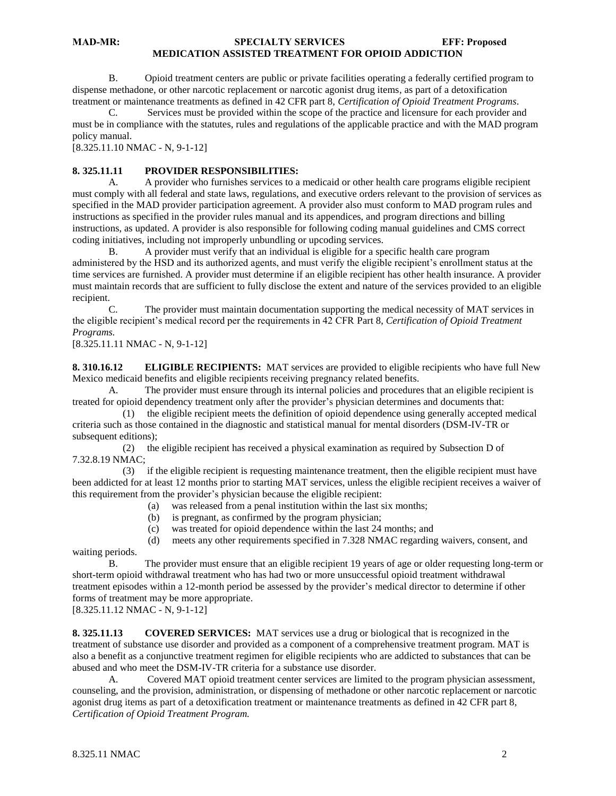### **MAD-MR: SPECIALTY SERVICES EFF: Proposed MEDICATION ASSISTED TREATMENT FOR OPIOID ADDICTION**

B. Opioid treatment centers are public or private facilities operating a federally certified program to dispense methadone, or other narcotic replacement or narcotic agonist drug items, as part of a detoxification treatment or maintenance treatments as defined in 42 CFR part 8, *Certification of Opioid Treatment Programs*.

C. Services must be provided within the scope of the practice and licensure for each provider and must be in compliance with the statutes, rules and regulations of the applicable practice and with the MAD program policy manual.

[8.325.11.10 NMAC - N, 9-1-12]

### **8. 325.11.11 PROVIDER RESPONSIBILITIES:**

A. A provider who furnishes services to a medicaid or other health care programs eligible recipient must comply with all federal and state laws, regulations, and executive orders relevant to the provision of services as specified in the MAD provider participation agreement. A provider also must conform to MAD program rules and instructions as specified in the provider rules manual and its appendices, and program directions and billing instructions, as updated. A provider is also responsible for following coding manual guidelines and CMS correct coding initiatives, including not improperly unbundling or upcoding services.

B. A provider must verify that an individual is eligible for a specific health care program administered by the HSD and its authorized agents, and must verify the eligible recipient's enrollment status at the time services are furnished. A provider must determine if an eligible recipient has other health insurance. A provider must maintain records that are sufficient to fully disclose the extent and nature of the services provided to an eligible recipient.

C. The provider must maintain documentation supporting the medical necessity of MAT services in the eligible recipient's medical record per the requirements in 42 CFR Part 8, *Certification of Opioid Treatment Programs.*

[8.325.11.11 NMAC - N, 9-1-12]

**8. 310.16.12 ELIGIBLE RECIPIENTS:** MAT services are provided to eligible recipients who have full New Mexico medicaid benefits and eligible recipients receiving pregnancy related benefits.

A. The provider must ensure through its internal policies and procedures that an eligible recipient is treated for opioid dependency treatment only after the provider's physician determines and documents that:

 (1) the eligible recipient meets the definition of opioid dependence using generally accepted medical criteria such as those contained in the diagnostic and statistical manual for mental disorders (DSM-IV-TR or subsequent editions);

 (2) the eligible recipient has received a physical examination as required by Subsection D of 7.32.8.19 NMAC;

 (3) if the eligible recipient is requesting maintenance treatment, then the eligible recipient must have been addicted for at least 12 months prior to starting MAT services, unless the eligible recipient receives a waiver of this requirement from the provider's physician because the eligible recipient:

- (a) was released from a penal institution within the last six months;
- (b) is pregnant, as confirmed by the program physician;
- (c) was treated for opioid dependence within the last 24 months; and

 (d) meets any other requirements specified in 7.328 NMAC regarding waivers, consent, and waiting periods.

B. The provider must ensure that an eligible recipient 19 years of age or older requesting long-term or short-term opioid withdrawal treatment who has had two or more unsuccessful opioid treatment withdrawal treatment episodes within a 12-month period be assessed by the provider's medical director to determine if other forms of treatment may be more appropriate.

[8.325.11.12 NMAC - N, 9-1-12]

**8. 325.11.13 COVERED SERVICES:** MAT services use a drug or biological that is recognized in the treatment of substance use disorder and provided as a component of a comprehensive treatment program. MAT is also a benefit as a conjunctive treatment regimen for eligible recipients who are addicted to substances that can be abused and who meet the DSM-IV-TR criteria for a substance use disorder.

A. Covered MAT opioid treatment center services are limited to the program physician assessment, counseling, and the provision, administration, or dispensing of methadone or other narcotic replacement or narcotic agonist drug items as part of a detoxification treatment or maintenance treatments as defined in 42 CFR part 8, *Certification of Opioid Treatment Program.*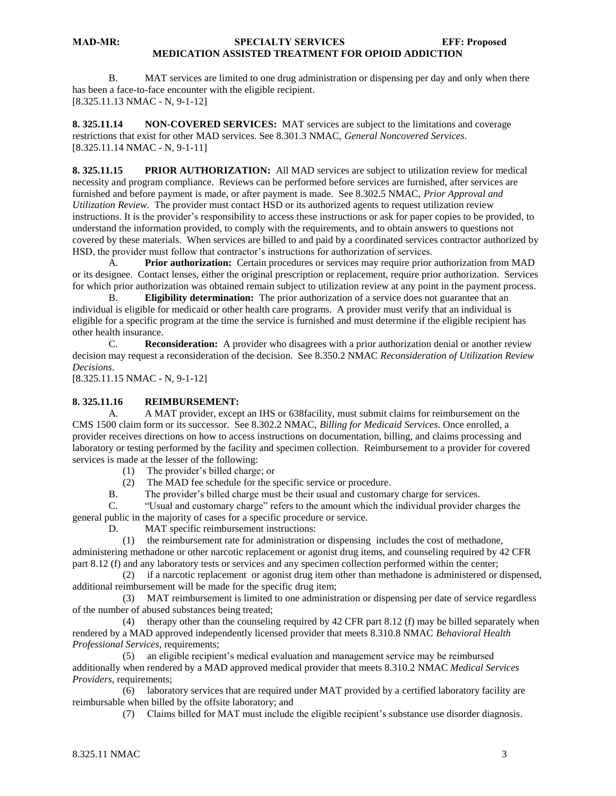## **MAD-MR: SPECIALTY SERVICES EFF: Proposed MEDICATION ASSISTED TREATMENT FOR OPIOID ADDICTION**

B. MAT services are limited to one drug administration or dispensing per day and only when there has been a face-to-face encounter with the eligible recipient. [8.325.11.13 NMAC - N, 9-1-12]

**8. 325.11.14 NON-COVERED SERVICES:** MAT services are subject to the limitations and coverage restrictions that exist for other MAD services. See 8.301.3 NMAC, *General Noncovered Services*. [8.325.11.14 NMAC - N, 9-1-11]

**8. 325.11.15 PRIOR AUTHORIZATION:** All MAD services are subject to utilization review for medical necessity and program compliance. Reviews can be performed before services are furnished, after services are furnished and before payment is made, or after payment is made. See 8.302.5 NMAC, *Prior Approval and Utilization Review*. The provider must contact HSD or its authorized agents to request utilization review instructions. It is the provider's responsibility to access these instructions or ask for paper copies to be provided, to understand the information provided, to comply with the requirements, and to obtain answers to questions not covered by these materials. When services are billed to and paid by a coordinated services contractor authorized by HSD, the provider must follow that contractor's instructions for authorization of services.

A. **Prior authorization:** Certain procedures or services may require prior authorization from MAD or its designee. Contact lenses, either the original prescription or replacement, require prior authorization. Services for which prior authorization was obtained remain subject to utilization review at any point in the payment process.

B. **Eligibility determination:** The prior authorization of a service does not guarantee that an individual is eligible for medicaid or other health care programs. A provider must verify that an individual is eligible for a specific program at the time the service is furnished and must determine if the eligible recipient has other health insurance.

C. **Reconsideration:** A provider who disagrees with a prior authorization denial or another review decision may request a reconsideration of the decision. See 8.350.2 NMAC *Reconsideration of Utilization Review Decisions*.

[8.325.11.15 NMAC - N, 9-1-12]

#### **8. 325.11.16 REIMBURSEMENT:**

A. A MAT provider, except an IHS or 638facility, must submit claims for reimbursement on the CMS 1500 claim form or its successor. See 8.302.2 NMAC, *Billing for Medicaid Services*. Once enrolled, a provider receives directions on how to access instructions on documentation, billing, and claims processing and laboratory or testing performed by the facility and specimen collection. Reimbursement to a provider for covered services is made at the lesser of the following:

(1) The provider's billed charge; or

(2) The MAD fee schedule for the specific service or procedure.

B. The provider's billed charge must be their usual and customary charge for services.

C. "Usual and customary charge" refers to the amount which the individual provider charges the general public in the majority of cases for a specific procedure or service.

D. MAT specific reimbursement instructions:

 (1) the reimbursement rate for administration or dispensing includes the cost of methadone, administering methadone or other narcotic replacement or agonist drug items, and counseling required by 42 CFR part 8.12 (f) and any laboratory tests or services and any specimen collection performed within the center;

 (2) if a narcotic replacement or agonist drug item other than methadone is administered or dispensed, additional reimbursement will be made for the specific drug item;

 (3) MAT reimbursement is limited to one administration or dispensing per date of service regardless of the number of abused substances being treated;

 (4) therapy other than the counseling required by 42 CFR part 8.12 (f) may be billed separately when rendered by a MAD approved independently licensed provider that meets 8.310.8 NMAC *Behavioral Health Professional Services,* requirements;

 (5) an eligible recipient's medical evaluation and management service may be reimbursed additionally when rendered by a MAD approved medical provider that meets 8.310.2 NMAC *Medical Services Providers,* requirements;

 (6) laboratory services that are required under MAT provided by a certified laboratory facility are reimbursable when billed by the offsite laboratory; and

(7) Claims billed for MAT must include the eligible recipient's substance use disorder diagnosis.